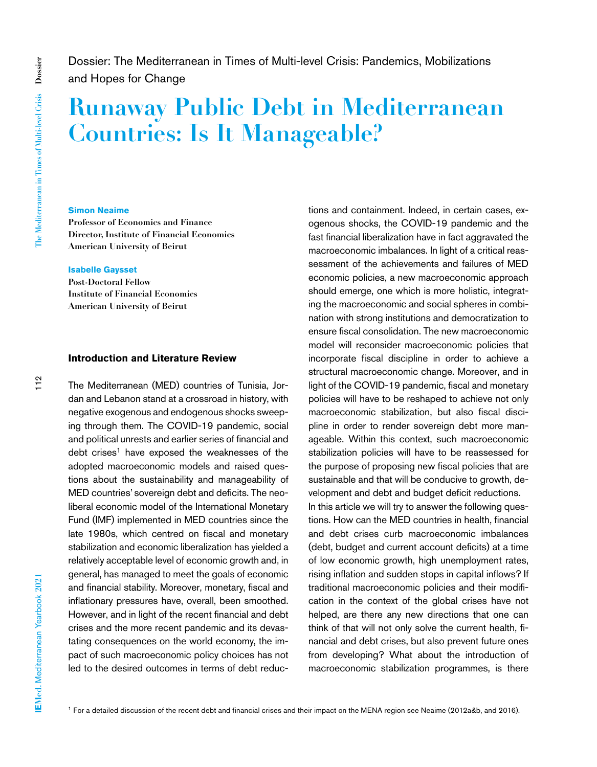$112$ 

Dossier: The Mediterranean in Times of Multi-level Crisis: Pandemics, Mobilizations and Hopes for Change

# **Runaway Public Debt in Mediterranean Countries: Is It Manageable?**

### **Simon Neaime**

**Professor of Economics and Finance Director, Institute of Financial Economics American University of Beirut**

#### **Isabelle Gaysset**

**Post-Doctoral Fellow Institute of Financial Economics American University of Beirut**

#### **Introduction and Literature Review**

The Mediterranean (MED) countries of Tunisia, Jordan and Lebanon stand at a crossroad in history, with negative exogenous and endogenous shocks sweeping through them. The COVID-19 pandemic, social and political unrests and earlier series of financial and debt crises<sup>1</sup> have exposed the weaknesses of the adopted macroeconomic models and raised questions about the sustainability and manageability of MED countries' sovereign debt and deficits. The neoliberal economic model of the International Monetary Fund (IMF) implemented in MED countries since the late 1980s, which centred on fiscal and monetary stabilization and economic liberalization has yielded a relatively acceptable level of economic growth and, in general, has managed to meet the goals of economic and financial stability. Moreover, monetary, fiscal and inflationary pressures have, overall, been smoothed. However, and in light of the recent financial and debt crises and the more recent pandemic and its devastating consequences on the world economy, the impact of such macroeconomic policy choices has not led to the desired outcomes in terms of debt reductions and containment. Indeed, in certain cases, exogenous shocks, the COVID-19 pandemic and the fast financial liberalization have in fact aggravated the macroeconomic imbalances. In light of a critical reassessment of the achievements and failures of MED economic policies, a new macroeconomic approach should emerge, one which is more holistic, integrating the macroeconomic and social spheres in combination with strong institutions and democratization to ensure fiscal consolidation. The new macroeconomic model will reconsider macroeconomic policies that incorporate fiscal discipline in order to achieve a structural macroeconomic change. Moreover, and in light of the COVID-19 pandemic, fiscal and monetary policies will have to be reshaped to achieve not only macroeconomic stabilization, but also fiscal discipline in order to render sovereign debt more manageable. Within this context, such macroeconomic stabilization policies will have to be reassessed for the purpose of proposing new fiscal policies that are sustainable and that will be conducive to growth, development and debt and budget deficit reductions. In this article we will try to answer the following questions. How can the MED countries in health, financial and debt crises curb macroeconomic imbalances (debt, budget and current account deficits) at a time of low economic growth, high unemployment rates, rising inflation and sudden stops in capital inflows? If traditional macroeconomic policies and their modification in the context of the global crises have not helped, are there any new directions that one can think of that will not only solve the current health, financial and debt crises, but also prevent future ones

from developing? What about the introduction of macroeconomic stabilization programmes, is there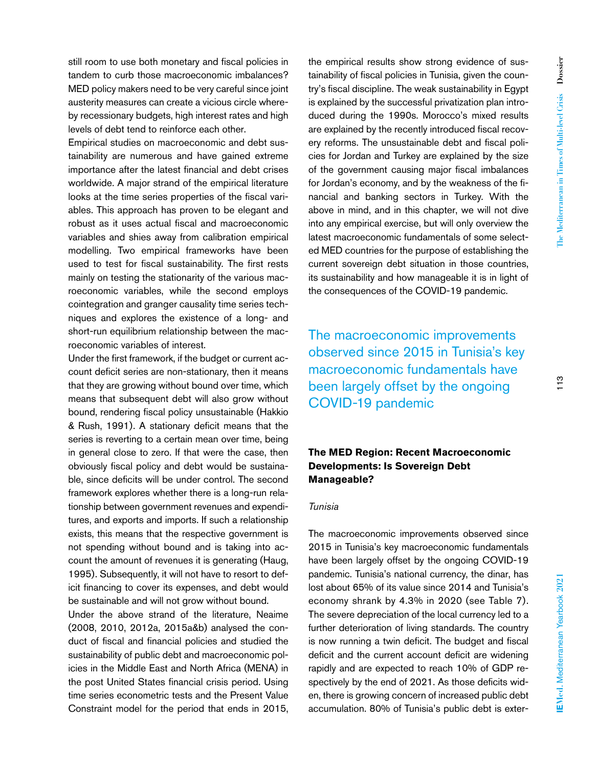still room to use both monetary and fiscal policies in tandem to curb those macroeconomic imbalances? MED policy makers need to be very careful since joint austerity measures can create a vicious circle whereby recessionary budgets, high interest rates and high levels of debt tend to reinforce each other.

Empirical studies on macroeconomic and debt sustainability are numerous and have gained extreme importance after the latest financial and debt crises worldwide. A major strand of the empirical literature looks at the time series properties of the fiscal variables. This approach has proven to be elegant and robust as it uses actual fiscal and macroeconomic variables and shies away from calibration empirical modelling. Two empirical frameworks have been used to test for fiscal sustainability. The first rests mainly on testing the stationarity of the various macroeconomic variables, while the second employs cointegration and granger causality time series techniques and explores the existence of a long- and short-run equilibrium relationship between the macroeconomic variables of interest.

Under the first framework, if the budget or current account deficit series are non-stationary, then it means that they are growing without bound over time, which means that subsequent debt will also grow without bound, rendering fiscal policy unsustainable (Hakkio & Rush, 1991). A stationary deficit means that the series is reverting to a certain mean over time, being in general close to zero. If that were the case, then obviously fiscal policy and debt would be sustainable, since deficits will be under control. The second framework explores whether there is a long-run relationship between government revenues and expenditures, and exports and imports. If such a relationship exists, this means that the respective government is not spending without bound and is taking into account the amount of revenues it is generating (Haug, 1995). Subsequently, it will not have to resort to deficit financing to cover its expenses, and debt would be sustainable and will not grow without bound.

Under the above strand of the literature, Neaime (2008, 2010, 2012a, 2015a&b) analysed the conduct of fiscal and financial policies and studied the sustainability of public debt and macroeconomic policies in the Middle East and North Africa (MENA) in the post United States financial crisis period. Using time series econometric tests and the Present Value Constraint model for the period that ends in 2015,

the empirical results show strong evidence of sustainability of fiscal policies in Tunisia, given the country's fiscal discipline. The weak sustainability in Egypt is explained by the successful privatization plan introduced during the 1990s. Morocco's mixed results are explained by the recently introduced fiscal recovery reforms. The unsustainable debt and fiscal policies for Jordan and Turkey are explained by the size of the government causing major fiscal imbalances for Jordan's economy, and by the weakness of the financial and banking sectors in Turkey. With the above in mind, and in this chapter, we will not dive into any empirical exercise, but will only overview the latest macroeconomic fundamentals of some selected MED countries for the purpose of establishing the current sovereign debt situation in those countries, its sustainability and how manageable it is in light of the consequences of the COVID-19 pandemic.

The macroeconomic improvements observed since 2015 in Tunisia's key macroeconomic fundamentals have been largely offset by the ongoing COVID-19 pandemic

# **The MED Region: Recent Macroeconomic Developments: Is Sovereign Debt Manageable?**

# *Tunisia*

The macroeconomic improvements observed since 2015 in Tunisia's key macroeconomic fundamentals have been largely offset by the ongoing COVID-19 pandemic. Tunisia's national currency, the dinar, has lost about 65% of its value since 2014 and Tunisia's economy shrank by 4.3% in 2020 (see Table 7). The severe depreciation of the local currency led to a further deterioration of living standards. The country is now running a twin deficit. The budget and fiscal deficit and the current account deficit are widening rapidly and are expected to reach 10% of GDP respectively by the end of 2021. As those deficits widen, there is growing concern of increased public debt accumulation. 80% of Tunisia's public debt is exter-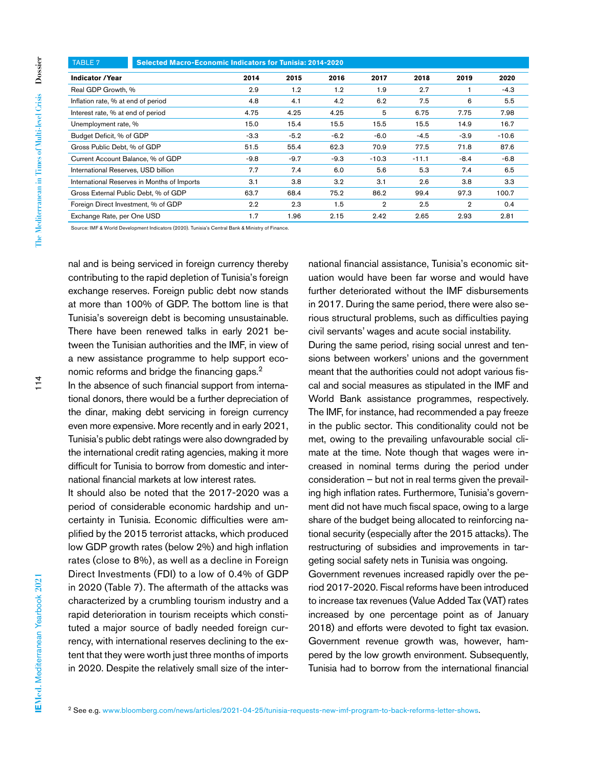| <b>TABLE 7</b>                              | Selected Macro-Economic Indicators for Tunisia: 2014-2020 |        |        |                |         |                |         |  |
|---------------------------------------------|-----------------------------------------------------------|--------|--------|----------------|---------|----------------|---------|--|
| <b>Indicator / Year</b>                     | 2014                                                      | 2015   | 2016   | 2017           | 2018    | 2019           | 2020    |  |
| Real GDP Growth, %                          | 2.9                                                       | 1.2    | 1.2    | 1.9            | 2.7     |                | $-4.3$  |  |
| Inflation rate, % at end of period          | 4.8                                                       | 4.1    | 4.2    | 6.2            | 7.5     | 6              | 5.5     |  |
| Interest rate, % at end of period           | 4.75                                                      | 4.25   | 4.25   | 5              | 6.75    | 7.75           | 7.98    |  |
| Unemployment rate, %                        | 15.0                                                      | 15.4   | 15.5   | 15.5           | 15.5    | 14.9           | 16.7    |  |
| Budget Deficit, % of GDP                    | $-3.3$                                                    | $-5.2$ | $-6.2$ | $-6.0$         | $-4.5$  | $-3.9$         | $-10.6$ |  |
| Gross Public Debt. % of GDP                 | 51.5                                                      | 55.4   | 62.3   | 70.9           | 77.5    | 71.8           | 87.6    |  |
| Current Account Balance, % of GDP           | $-9.8$                                                    | $-9.7$ | $-9.3$ | $-10.3$        | $-11.1$ | $-8.4$         | $-6.8$  |  |
| International Reserves, USD billion         | 7.7                                                       | 7.4    | 6.0    | 5.6            | 5.3     | 7.4            | 6.5     |  |
| International Reserves in Months of Imports | 3.1                                                       | 3.8    | 3.2    | 3.1            | 2.6     | 3.8            | 3.3     |  |
| Gross External Public Debt, % of GDP        | 63.7                                                      | 68.4   | 75.2   | 86.2           | 99.4    | 97.3           | 100.7   |  |
| Foreign Direct Investment, % of GDP         | 2.2                                                       | 2.3    | 1.5    | $\overline{2}$ | 2.5     | $\overline{2}$ | 0.4     |  |
| Exchange Rate, per One USD                  | 1.7                                                       | 1.96   | 2.15   | 2.42           | 2.65    | 2.93           | 2.81    |  |

Source: IMF & World Development Indicators (2020). Tunisia's Central Bank & Ministry of Finance.

nal and is being serviced in foreign currency thereby contributing to the rapid depletion of Tunisia's foreign exchange reserves. Foreign public debt now stands at more than 100% of GDP. The bottom line is that Tunisia's sovereign debt is becoming unsustainable. There have been renewed talks in early 2021 between the Tunisian authorities and the IMF, in view of a new assistance programme to help support economic reforms and bridge the financing gaps.2

In the absence of such financial support from international donors, there would be a further depreciation of the dinar, making debt servicing in foreign currency even more expensive. More recently and in early 2021, Tunisia's public debt ratings were also downgraded by the international credit rating agencies, making it more difficult for Tunisia to borrow from domestic and international financial markets at low interest rates.

It should also be noted that the 2017-2020 was a period of considerable economic hardship and uncertainty in Tunisia. Economic difficulties were amplified by the 2015 terrorist attacks, which produced low GDP growth rates (below 2%) and high inflation rates (close to 8%), as well as a decline in Foreign Direct Investments (FDI) to a low of 0.4% of GDP in 2020 (Table 7). The aftermath of the attacks was characterized by a crumbling tourism industry and a rapid deterioration in tourism receipts which constituted a major source of badly needed foreign currency, with international reserves declining to the extent that they were worth just three months of imports in 2020. Despite the relatively small size of the international financial assistance, Tunisia's economic situation would have been far worse and would have further deteriorated without the IMF disbursements in 2017. During the same period, there were also serious structural problems, such as difficulties paying civil servants' wages and acute social instability.

During the same period, rising social unrest and tensions between workers' unions and the government meant that the authorities could not adopt various fiscal and social measures as stipulated in the IMF and World Bank assistance programmes, respectively. The IMF, for instance, had recommended a pay freeze in the public sector. This conditionality could not be met, owing to the prevailing unfavourable social climate at the time. Note though that wages were increased in nominal terms during the period under consideration – but not in real terms given the prevailing high inflation rates. Furthermore, Tunisia's government did not have much fiscal space, owing to a large share of the budget being allocated to reinforcing national security (especially after the 2015 attacks). The restructuring of subsidies and improvements in targeting social safety nets in Tunisia was ongoing.

Government revenues increased rapidly over the period 2017-2020. Fiscal reforms have been introduced to increase tax revenues (Value Added Tax (VAT) rates increased by one percentage point as of January 2018) and efforts were devoted to fight tax evasion. Government revenue growth was, however, hampered by the low growth environment. Subsequently, Tunisia had to borrow from the international financial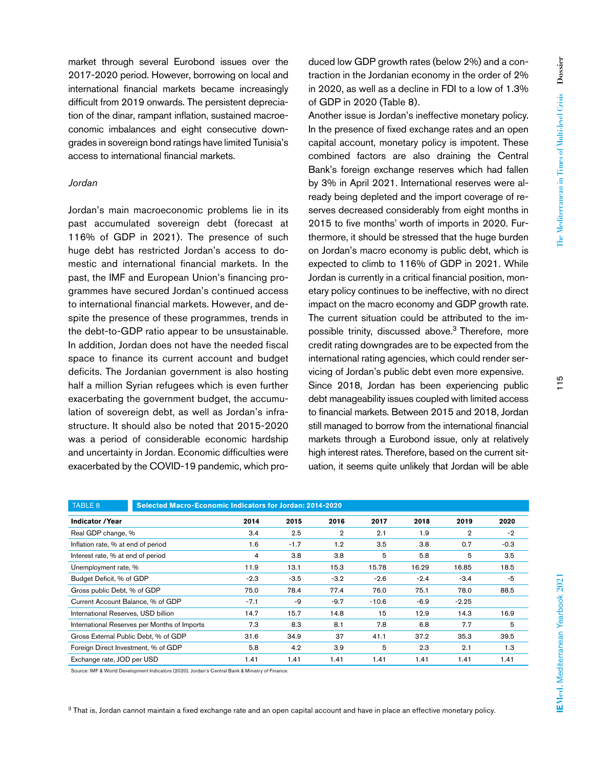market through several Eurobond issues over the 2017-2020 period. However, borrowing on local and international financial markets became increasingly difficult from 2019 onwards. The persistent depreciation of the dinar, rampant inflation, sustained macroeconomic imbalances and eight consecutive downgrades in sovereign bond ratings have limited Tunisia's access to international financial markets.

# *Jordan*

Jordan's main macroeconomic problems lie in its past accumulated sovereign debt (forecast at 116% of GDP in 2021). The presence of such huge debt has restricted Jordan's access to domestic and international financial markets. In the past, the IMF and European Union's financing programmes have secured Jordan's continued access to international financial markets. However, and despite the presence of these programmes, trends in the debt-to-GDP ratio appear to be unsustainable. In addition, Jordan does not have the needed fiscal space to finance its current account and budget deficits. The Jordanian government is also hosting half a million Syrian refugees which is even further exacerbating the government budget, the accumulation of sovereign debt, as well as Jordan's infrastructure. It should also be noted that 2015-2020 was a period of considerable economic hardship and uncertainty in Jordan. Economic difficulties were exacerbated by the COVID-19 pandemic, which produced low GDP growth rates (below 2%) and a contraction in the Jordanian economy in the order of 2% in 2020, as well as a decline in FDI to a low of 1.3% of GDP in 2020 (Table 8).

Another issue is Jordan's ineffective monetary policy. In the presence of fixed exchange rates and an open capital account, monetary policy is impotent. These combined factors are also draining the Central Bank's foreign exchange reserves which had fallen by 3% in April 2021. International reserves were already being depleted and the import coverage of reserves decreased considerably from eight months in 2015 to five months' worth of imports in 2020. Furthermore, it should be stressed that the huge burden on Jordan's macro economy is public debt, which is expected to climb to 116% of GDP in 2021. While Jordan is currently in a critical financial position, monetary policy continues to be ineffective, with no direct impact on the macro economy and GDP growth rate. The current situation could be attributed to the impossible trinity, discussed above.<sup>3</sup> Therefore, more credit rating downgrades are to be expected from the international rating agencies, which could render servicing of Jordan's public debt even more expensive. Since 2018, Jordan has been experiencing public debt manageability issues coupled with limited access to financial markets. Between 2015 and 2018, Jordan still managed to borrow from the international financial markets through a Eurobond issue, only at relatively high interest rates. Therefore, based on the current situation, it seems quite unlikely that Jordan will be able

| TABLE 8<br>Selected Macro-Economic Indicators for Jordan: 2014-2020 |        |        |        |         |        |                |        |  |
|---------------------------------------------------------------------|--------|--------|--------|---------|--------|----------------|--------|--|
|                                                                     |        |        |        |         |        |                |        |  |
| <b>Indicator / Year</b>                                             | 2014   | 2015   | 2016   | 2017    | 2018   | 2019           | 2020   |  |
| Real GDP change, %                                                  | 3.4    | 2.5    | 2      | 2.1     | 1.9    | $\overline{2}$ | $-2$   |  |
| Inflation rate, % at end of period                                  | 1.6    | $-1.7$ | 1.2    | 3.5     | 3.8    | 0.7            | $-0.3$ |  |
| Interest rate, % at end of period                                   | 4      | 3.8    | 3.8    | 5       | 5.8    | 5              | 3.5    |  |
| Unemployment rate, %                                                | 11.9   | 13.1   | 15.3   | 15.78   | 16.29  | 16.85          | 18.5   |  |
| Budget Deficit, % of GDP                                            | $-2.3$ | $-3.5$ | $-3.2$ | $-2.6$  | $-2.4$ | $-3.4$         | -5     |  |
| Gross public Debt, % of GDP                                         | 75.0   | 78.4   | 77.4   | 76.0    | 75.1   | 78.0           | 88.5   |  |
| Current Account Balance, % of GDP                                   | $-7.1$ | -9     | $-9.7$ | $-10.6$ | $-6.9$ | $-2.25$        |        |  |
| International Reserves, USD billion                                 | 14.7   | 15.7   | 14.8   | 15      | 12.9   | 14.3           | 16.9   |  |
| International Reserves per Months of Imports                        | 7.3    | 8.3    | 8.1    | 7.8     | 6.8    | 7.7            | 5      |  |
| Gross External Public Debt, % of GDP                                | 31.6   | 34.9   | 37     | 41.1    | 37.2   | 35.3           | 39.5   |  |
| Foreign Direct Investment, % of GDP                                 | 5.8    | 4.2    | 3.9    | 5       | 2.3    | 2.1            | 1.3    |  |
| Exchange rate, JOD per USD                                          | 1.41   | 1.41   | 1.41   | 1.41    | 1.41   | 1.41           | 1.41   |  |

Source: IMF & World Development Indicators (2020). Jordan's Central Bank & Ministry of Finance.

3 That is, Jordan cannot maintain a fixed exchange rate and an open capital account and have in place an effective monetary policy.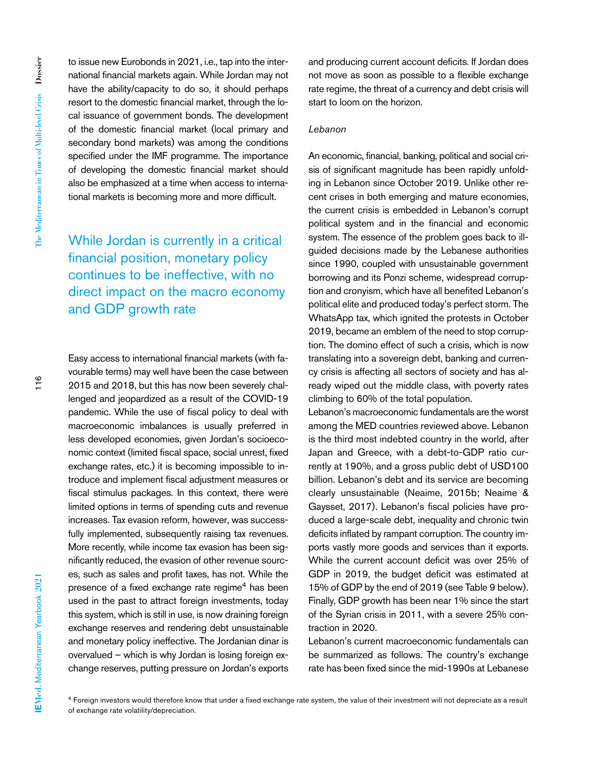to issue new Eurobonds in 2021, i.e., tap into the international financial markets again. While Jordan may not have the ability/capacity to do so, it should perhaps resort to the domestic financial market, through the local issuance of government bonds. The development of the domestic financial market (local primary and secondary bond markets) was among the conditions specified under the IMF programme. The importance of developing the domestic financial market should also be emphasized at a time when access to international markets is becoming more and more difficult.

While Jordan is currently in a critical financial position, monetary policy continues to be ineffective, with no direct impact on the macro economy and GDP growth rate

Easy access to international financial markets (with favourable terms) may well have been the case between 2015 and 2018, but this has now been severely challenged and jeopardized as a result of the COVID-19 pandemic. While the use of fiscal policy to deal with macroeconomic imbalances is usually preferred in less developed economies, given Jordan's socioeconomic context (limited fiscal space, social unrest, fixed exchange rates, etc.) it is becoming impossible to introduce and implement fiscal adjustment measures or fiscal stimulus packages. In this context, there were limited options in terms of spending cuts and revenue increases. Tax evasion reform, however, was successfully implemented, subsequently raising tax revenues. More recently, while income tax evasion has been significantly reduced, the evasion of other revenue sources, such as sales and profit taxes, has not. While the presence of a fixed exchange rate regime<sup>4</sup> has been used in the past to attract foreign investments, today this system, which is still in use, is now draining foreign exchange reserves and rendering debt unsustainable and monetary policy ineffective. The Jordanian dinar is overvalued – which is why Jordan is losing foreign exchange reserves, putting pressure on Jordan's exports and producing current account deficits. If Jordan does not move as soon as possible to a flexible exchange rate regime, the threat of a currency and debt crisis will start to loom on the horizon.

# *Lebanon*

An economic, financial, banking, political and social crisis of significant magnitude has been rapidly unfolding in Lebanon since October 2019. Unlike other recent crises in both emerging and mature economies, the current crisis is embedded in Lebanon's corrupt political system and in the financial and economic system. The essence of the problem goes back to illguided decisions made by the Lebanese authorities since 1990, coupled with unsustainable government borrowing and its Ponzi scheme, widespread corruption and cronyism, which have all benefited Lebanon's political elite and produced today's perfect storm. The WhatsApp tax, which ignited the protests in October 2019, became an emblem of the need to stop corruption. The domino effect of such a crisis, which is now translating into a sovereign debt, banking and currency crisis is affecting all sectors of society and has already wiped out the middle class, with poverty rates climbing to 60% of the total population.

Lebanon's macroeconomic fundamentals are the worst among the MED countries reviewed above. Lebanon is the third most indebted country in the world, after Japan and Greece, with a debt-to-GDP ratio currently at 190%, and a gross public debt of USD100 billion. Lebanon's debt and its service are becoming clearly unsustainable (Neaime, 2015b; Neaime & Gaysset, 2017). Lebanon's fiscal policies have produced a large-scale debt, inequality and chronic twin deficits inflated by rampant corruption. The country imports vastly more goods and services than it exports. While the current account deficit was over 25% of GDP in 2019, the budget deficit was estimated at 15% of GDP by the end of 2019 (see Table 9 below). Finally, GDP growth has been near 1% since the start of the Syrian crisis in 2011, with a severe 25% contraction in 2020.

Lebanon's current macroeconomic fundamentals can be summarized as follows. The country's exchange rate has been fixed since the mid-1990s at Lebanese

<sup>4</sup> Foreign investors would therefore know that under a fixed exchange rate system, the value of their investment will not depreciate as a result of exchange rate volatility/depreciation.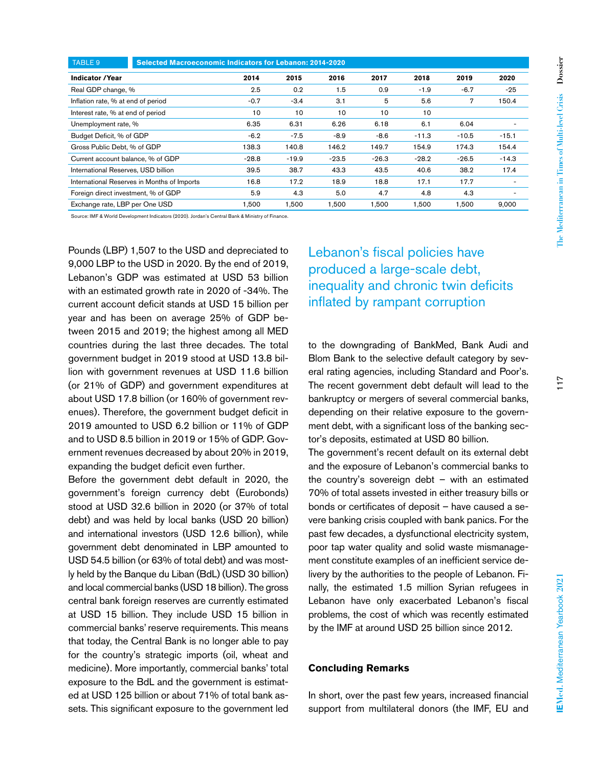| <b>TABLE 9</b>                              | Selected Macroeconomic Indicators for Lebanon: 2014-2020 |         |         |         |         |         |         |         |
|---------------------------------------------|----------------------------------------------------------|---------|---------|---------|---------|---------|---------|---------|
| <b>Indicator / Year</b>                     |                                                          | 2014    | 2015    | 2016    | 2017    | 2018    | 2019    | 2020    |
| Real GDP change, %                          |                                                          | 2.5     | 0.2     | 1.5     | 0.9     | $-1.9$  | $-6.7$  | $-25$   |
| Inflation rate, % at end of period          |                                                          | $-0.7$  | $-3.4$  | 3.1     | 5       | 5.6     | 7       | 150.4   |
| Interest rate, % at end of period           |                                                          | 10      | 10      | 10      | 10      | 10      |         |         |
| Unemployment rate, %                        |                                                          | 6.35    | 6.31    | 6.26    | 6.18    | 6.1     | 6.04    |         |
| Budget Deficit, % of GDP                    |                                                          | $-6.2$  | $-7.5$  | $-8.9$  | $-8.6$  | $-11.3$ | $-10.5$ | $-15.1$ |
| Gross Public Debt, % of GDP                 |                                                          | 138.3   | 140.8   | 146.2   | 149.7   | 154.9   | 174.3   | 154.4   |
| Current account balance, % of GDP           |                                                          | $-28.8$ | $-19.9$ | $-23.5$ | $-26.3$ | $-28.2$ | $-26.5$ | $-14.3$ |
| International Reserves, USD billion         |                                                          | 39.5    | 38.7    | 43.3    | 43.5    | 40.6    | 38.2    | 17.4    |
| International Reserves in Months of Imports |                                                          | 16.8    | 17.2    | 18.9    | 18.8    | 17.1    | 17.7    |         |
| Foreign direct investment, % of GDP         |                                                          | 5.9     | 4.3     | 5.0     | 4.7     | 4.8     | 4.3     |         |
| Exchange rate, LBP per One USD              |                                                          | 1.500   | 1.500   | 1.500   | 1.500   | 1.500   | 1.500   | 9.000   |

Source: IMF & World Development Indicators (2020). Jordan's Central Bank & Ministry of Finance.

Pounds (LBP) 1,507 to the USD and depreciated to 9,000 LBP to the USD in 2020. By the end of 2019, Lebanon's GDP was estimated at USD 53 billion with an estimated growth rate in 2020 of -34%. The current account deficit stands at USD 15 billion per year and has been on average 25% of GDP between 2015 and 2019; the highest among all MED countries during the last three decades. The total government budget in 2019 stood at USD 13.8 billion with government revenues at USD 11.6 billion (or 21% of GDP) and government expenditures at about USD 17.8 billion (or 160% of government revenues). Therefore, the government budget deficit in 2019 amounted to USD 6.2 billion or 11% of GDP and to USD 8.5 billion in 2019 or 15% of GDP. Government revenues decreased by about 20% in 2019, expanding the budget deficit even further.

Before the government debt default in 2020, the government's foreign currency debt (Eurobonds) stood at USD 32.6 billion in 2020 (or 37% of total debt) and was held by local banks (USD 20 billion) and international investors (USD 12.6 billion), while government debt denominated in LBP amounted to USD 54.5 billion (or 63% of total debt) and was mostly held by the Banque du Liban (BdL) (USD 30 billion) and local commercial banks (USD 18 billion). The gross central bank foreign reserves are currently estimated at USD 15 billion. They include USD 15 billion in commercial banks' reserve requirements. This means that today, the Central Bank is no longer able to pay for the country's strategic imports (oil, wheat and medicine). More importantly, commercial banks' total exposure to the BdL and the government is estimated at USD 125 billion or about 71% of total bank assets. This significant exposure to the government led

Lebanon's fiscal policies have produced a large-scale debt, inequality and chronic twin deficits inflated by rampant corruption

to the downgrading of BankMed, Bank Audi and Blom Bank to the selective default category by several rating agencies, including Standard and Poor's. The recent government debt default will lead to the bankruptcy or mergers of several commercial banks, depending on their relative exposure to the government debt, with a significant loss of the banking sector's deposits, estimated at USD 80 billion.

The government's recent default on its external debt and the exposure of Lebanon's commercial banks to the country's sovereign debt  $-$  with an estimated 70% of total assets invested in either treasury bills or bonds or certificates of deposit – have caused a severe banking crisis coupled with bank panics. For the past few decades, a dysfunctional electricity system, poor tap water quality and solid waste mismanagement constitute examples of an inefficient service delivery by the authorities to the people of Lebanon. Finally, the estimated 1.5 million Syrian refugees in Lebanon have only exacerbated Lebanon's fiscal problems, the cost of which was recently estimated by the IMF at around USD 25 billion since 2012.

# **Concluding Remarks**

In short, over the past few years, increased financial support from multilateral donors (the IMF, EU and